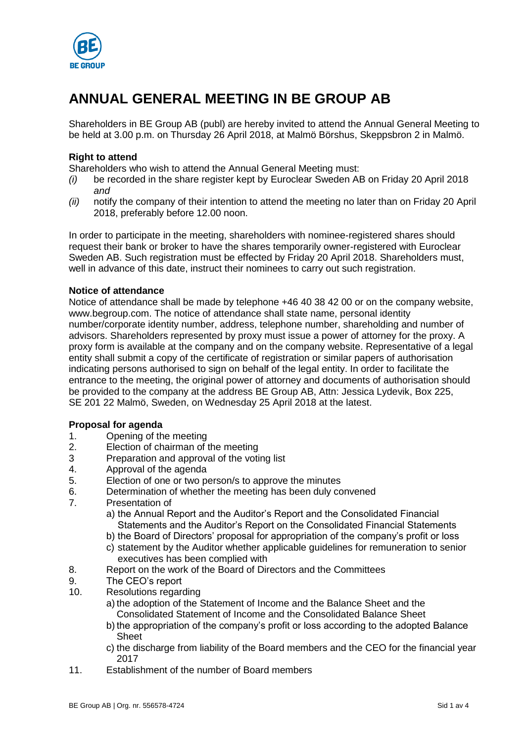

# **ANNUAL GENERAL MEETING IN BE GROUP AB**

Shareholders in BE Group AB (publ) are hereby invited to attend the Annual General Meeting to be held at 3.00 p.m. on Thursday 26 April 2018, at Malmö Börshus, Skeppsbron 2 in Malmö.

## **Right to attend**

Shareholders who wish to attend the Annual General Meeting must:

- *(i)* be recorded in the share register kept by Euroclear Sweden AB on Friday 20 April 2018 *and*
- *(ii)* notify the company of their intention to attend the meeting no later than on Friday 20 April 2018, preferably before 12.00 noon.

In order to participate in the meeting, shareholders with nominee-registered shares should request their bank or broker to have the shares temporarily owner-registered with Euroclear Sweden AB. Such registration must be effected by Friday 20 April 2018. Shareholders must, well in advance of this date, instruct their nominees to carry out such registration.

#### **Notice of attendance**

Notice of attendance shall be made by telephone +46 40 38 42 00 or on the company website, www.begroup.com. The notice of attendance shall state name, personal identity number/corporate identity number, address, telephone number, shareholding and number of advisors. Shareholders represented by proxy must issue a power of attorney for the proxy. A proxy form is available at the company and on the company website. Representative of a legal entity shall submit a copy of the certificate of registration or similar papers of authorisation indicating persons authorised to sign on behalf of the legal entity. In order to facilitate the entrance to the meeting, the original power of attorney and documents of authorisation should be provided to the company at the address BE Group AB, Attn: Jessica Lydevik, Box 225, SE 201 22 Malmö, Sweden, on Wednesday 25 April 2018 at the latest.

## **Proposal for agenda**

- 1. Opening of the meeting
- 2. Election of chairman of the meeting
- 3 Preparation and approval of the voting list
- 4. Approval of the agenda
- 5. Election of one or two person/s to approve the minutes
- 6. Determination of whether the meeting has been duly convened
- 7. Presentation of
	- a) the Annual Report and the Auditor's Report and the Consolidated Financial Statements and the Auditor's Report on the Consolidated Financial Statements
	- b) the Board of Directors' proposal for appropriation of the company's profit or loss
	- c) statement by the Auditor whether applicable guidelines for remuneration to senior executives has been complied with
- 8. Report on the work of the Board of Directors and the Committees
- 9. The CEO's report
- 10. Resolutions regarding
	- a) the adoption of the Statement of Income and the Balance Sheet and the Consolidated Statement of Income and the Consolidated Balance Sheet
	- b) the appropriation of the company's profit or loss according to the adopted Balance Sheet
	- c) the discharge from liability of the Board members and the CEO for the financial year 2017
- 11. Establishment of the number of Board members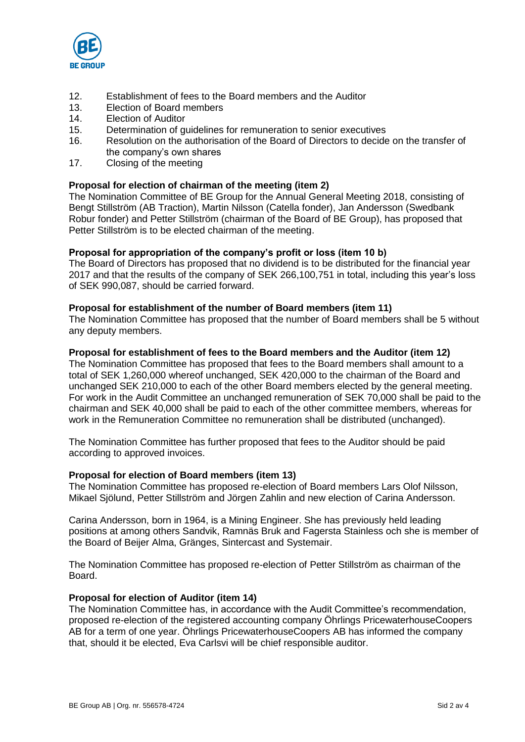

- 12. Establishment of fees to the Board members and the Auditor
- 13. Election of Board members
- 14. Election of Auditor
- 15. Determination of guidelines for remuneration to senior executives
- 16. Resolution on the authorisation of the Board of Directors to decide on the transfer of the company's own shares
- 17. Closing of the meeting

## **Proposal for election of chairman of the meeting (item 2)**

The Nomination Committee of BE Group for the Annual General Meeting 2018, consisting of Bengt Stillström (AB Traction), Martin Nilsson (Catella fonder), Jan Andersson (Swedbank Robur fonder) and Petter Stillström (chairman of the Board of BE Group), has proposed that Petter Stillström is to be elected chairman of the meeting.

## **Proposal for appropriation of the company's profit or loss (item 10 b)**

The Board of Directors has proposed that no dividend is to be distributed for the financial year 2017 and that the results of the company of SEK 266,100,751 in total, including this year's loss of SEK 990,087, should be carried forward.

## **Proposal for establishment of the number of Board members (item 11)**

The Nomination Committee has proposed that the number of Board members shall be 5 without any deputy members.

## **Proposal for establishment of fees to the Board members and the Auditor (item 12)**

The Nomination Committee has proposed that fees to the Board members shall amount to a total of SEK 1,260,000 whereof unchanged, SEK 420,000 to the chairman of the Board and unchanged SEK 210,000 to each of the other Board members elected by the general meeting. For work in the Audit Committee an unchanged remuneration of SEK 70,000 shall be paid to the chairman and SEK 40,000 shall be paid to each of the other committee members, whereas for work in the Remuneration Committee no remuneration shall be distributed (unchanged).

The Nomination Committee has further proposed that fees to the Auditor should be paid according to approved invoices.

## **Proposal for election of Board members (item 13)**

The Nomination Committee has proposed re-election of Board members Lars Olof Nilsson, Mikael Sjölund, Petter Stillström and Jörgen Zahlin and new election of Carina Andersson.

Carina Andersson, born in 1964, is a Mining Engineer. She has previously held leading positions at among others Sandvik, Ramnäs Bruk and Fagersta Stainless och she is member of the Board of Beijer Alma, Gränges, Sintercast and Systemair.

The Nomination Committee has proposed re-election of Petter Stillström as chairman of the Board.

#### **Proposal for election of Auditor (item 14)**

The Nomination Committee has, in accordance with the Audit Committee's recommendation, proposed re-election of the registered accounting company Öhrlings PricewaterhouseCoopers AB for a term of one year. Öhrlings PricewaterhouseCoopers AB has informed the company that, should it be elected, Eva Carlsvi will be chief responsible auditor.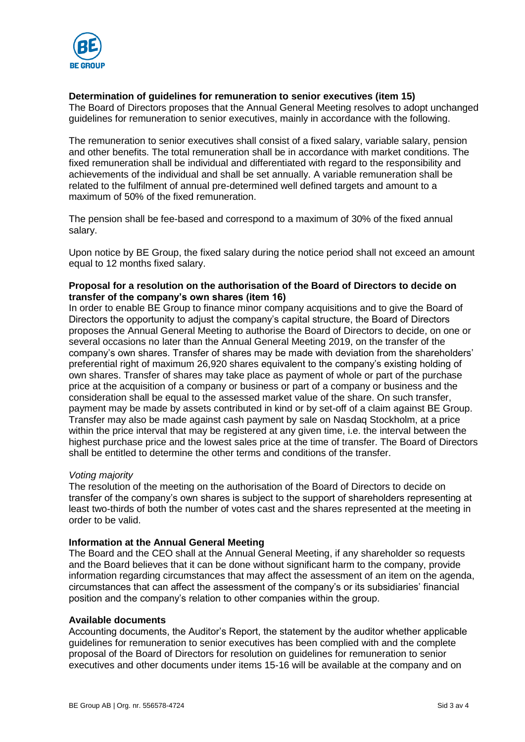

## **Determination of guidelines for remuneration to senior executives (item 15)**

The Board of Directors proposes that the Annual General Meeting resolves to adopt unchanged guidelines for remuneration to senior executives, mainly in accordance with the following.

The remuneration to senior executives shall consist of a fixed salary, variable salary, pension and other benefits. The total remuneration shall be in accordance with market conditions. The fixed remuneration shall be individual and differentiated with regard to the responsibility and achievements of the individual and shall be set annually. A variable remuneration shall be related to the fulfilment of annual pre-determined well defined targets and amount to a maximum of 50% of the fixed remuneration.

The pension shall be fee-based and correspond to a maximum of 30% of the fixed annual salary.

Upon notice by BE Group, the fixed salary during the notice period shall not exceed an amount equal to 12 months fixed salary.

# **Proposal for a resolution on the authorisation of the Board of Directors to decide on transfer of the company's own shares (item 16)**

In order to enable BE Group to finance minor company acquisitions and to give the Board of Directors the opportunity to adjust the company's capital structure, the Board of Directors proposes the Annual General Meeting to authorise the Board of Directors to decide, on one or several occasions no later than the Annual General Meeting 2019, on the transfer of the company's own shares. Transfer of shares may be made with deviation from the shareholders' preferential right of maximum 26,920 shares equivalent to the company's existing holding of own shares. Transfer of shares may take place as payment of whole or part of the purchase price at the acquisition of a company or business or part of a company or business and the consideration shall be equal to the assessed market value of the share. On such transfer, payment may be made by assets contributed in kind or by set-off of a claim against BE Group. Transfer may also be made against cash payment by sale on Nasdaq Stockholm, at a price within the price interval that may be registered at any given time, i.e. the interval between the highest purchase price and the lowest sales price at the time of transfer. The Board of Directors shall be entitled to determine the other terms and conditions of the transfer.

## *Voting majority*

The resolution of the meeting on the authorisation of the Board of Directors to decide on transfer of the company's own shares is subject to the support of shareholders representing at least two-thirds of both the number of votes cast and the shares represented at the meeting in order to be valid.

## **Information at the Annual General Meeting**

The Board and the CEO shall at the Annual General Meeting, if any shareholder so requests and the Board believes that it can be done without significant harm to the company, provide information regarding circumstances that may affect the assessment of an item on the agenda, circumstances that can affect the assessment of the company's or its subsidiaries' financial position and the company's relation to other companies within the group.

#### **Available documents**

Accounting documents, the Auditor's Report, the statement by the auditor whether applicable guidelines for remuneration to senior executives has been complied with and the complete proposal of the Board of Directors for resolution on guidelines for remuneration to senior executives and other documents under items 15-16 will be available at the company and on